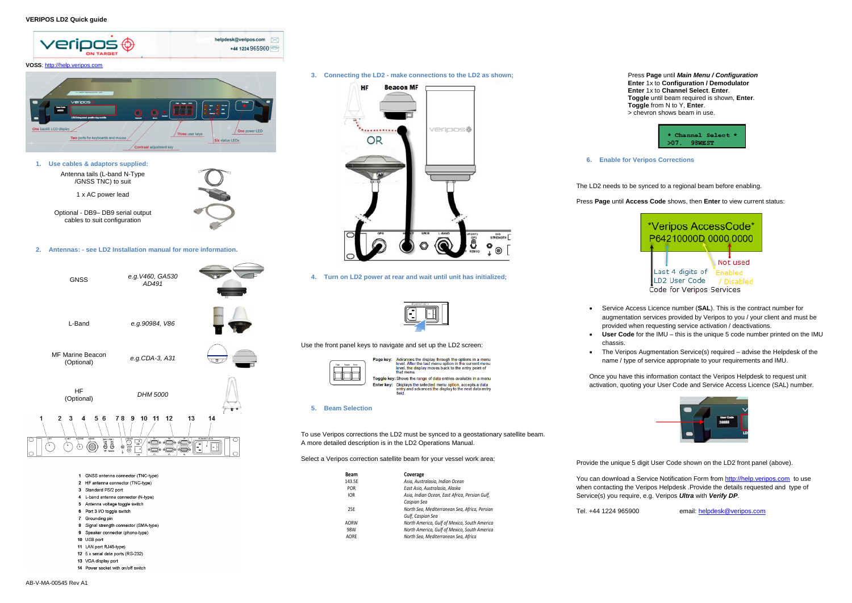

- 2 HF antenna connector (TNC-type)
- 3 Standard PS/2 port
- 
- 4 L-band antenna connector (N-type)
- 5 Antenna voltage toggle switch 6 Port 3 I/O togale switch
- 
- 7 Grounding pin 8 Signal strength connector (SMA-type)
- 9 Speaker connector (phono-type)
- $10$  LISB port
- 11 LAN port RJ45-type)
- 12 5 x serial data ports (RS-232)
- 13 VGA display port
- 14 Power socket with on/off switch

**3. Connecting the LD2 - make connections to the LD2 as shown;**



**4. Turn on LD2 power at rear and wait until unit has initialized;**



Use the front panel keys to navigate and set up the LD2 screen:



Advances the display through the options in a menu<br>level. After the last menu option in the current menu<br>level, the display moves back to the entry point of<br>that menu. Toggle key: Shows the range of data entries available in a menu Enter key: Displays the selected menu option, accepts a data<br>entry and advances the display to the next data entry

#### **5. Beam Selection**

To use Veripos corrections the LD2 must be synced to a geostationary satellite beam. A more detailed description is in the LD2 Operations Manual.

Select a Veripos correction satellite beam for your vessel work area:

• The Veripos Augmentation Service(s) required – advise the Helpdesk of the name / type of service appropriate to your requirements and IMU.



Press **Page** until *Main Menu / Configuration* **Enter** 1x to **Configuration / Demodulator Enter** 1x to **Channel Select**. **Enter**. **Toggle** until beam required is shown, **Enter**. **Toggle** from N to Y, **Enter**. > chevron shows beam in use.



**6. Enable for Veripos Corrections**

The LD2 needs to be synced to a regional beam before enabling.



Press **Page** until **Access Code** shows, then **Enter** to view current status:



 Service Access Licence number (**SAL**). This is the contract number for augmentation services provided by Veripos to you / your client and must be provided when requesting service activation / deactivations.

**User Code** for the IMU – this is the unique 5 code number printed on the IMU

- 
- chassis.
- 

Once you have this information contact the Veripos Helpdesk to request unit activation, quoting your User Code and Service Access Licence (SAL) number.

Provide the unique 5 digit User Code shown on the LD2 front panel (above).

Tel. +44 1224 965900 email: [helpdesk@veripos.com](mailto:helpdesk@veripos.com)

You can download a Service Notification Form from [http://help.veripos.com](http://help.veripos.com/) to use when contacting the Veripos Helpdesk .Provide the details requested and type of Service(s) you require, e.g. Veripos *Ultra* with *Verify DP*.

| <b>Beam</b> | Coverage                                       |
|-------------|------------------------------------------------|
| 143.5E      | Asia, Australasia, Indian Ocean                |
| <b>POR</b>  | East Asia, Australasia, Alaska                 |
| <b>IOR</b>  | Asia, Indian Ocean, East Africa, Persian Gulf, |
|             | Caspian Sea                                    |
| 25E         | North Sea, Mediterranean Sea, Africa, Persian  |
|             | Gulf, Caspian Sea                              |
| <b>AORW</b> | North America, Gulf of Mexico, South America   |
| 98W         | North America, Gulf of Mexico, South America   |
| AORE        | North Sea, Mediterranean Sea, Africa           |